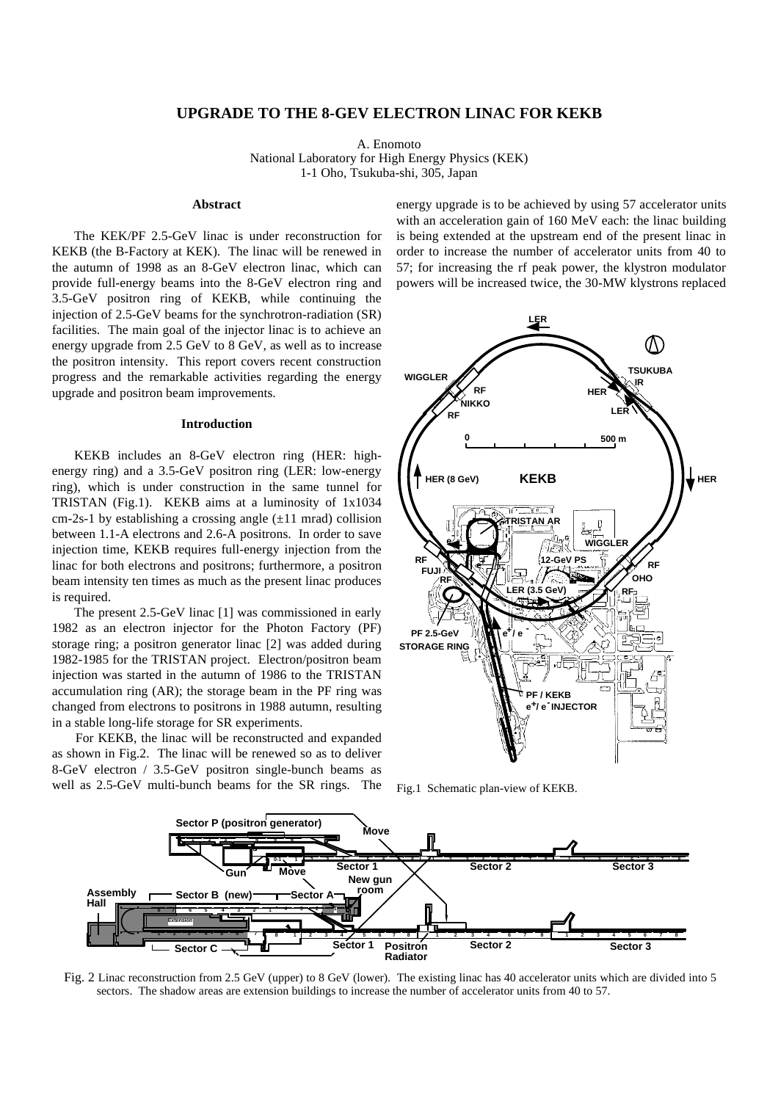# **UPGRADE TO THE 8-GEV ELECTRON LINAC FOR KEKB**

A. Enomoto National Laboratory for High Energy Physics (KEK) 1-1 Oho, Tsukuba-shi, 305, Japan

### **Abstract**

The KEK/PF 2.5-GeV linac is under reconstruction for KEKB (the B-Factory at KEK). The linac will be renewed in the autumn of 1998 as an 8-GeV electron linac, which can provide full-energy beams into the 8-GeV electron ring and 3.5-GeV positron ring of KEKB, while continuing the injection of 2.5-GeV beams for the synchrotron-radiation (SR) facilities. The main goal of the injector linac is to achieve an energy upgrade from 2.5 GeV to 8 GeV, as well as to increase the positron intensity. This report covers recent construction progress and the remarkable activities regarding the energy upgrade and positron beam improvements.

# **Introduction**

KEKB includes an 8-GeV electron ring (HER: highenergy ring) and a 3.5-GeV positron ring (LER: low-energy ring), which is under construction in the same tunnel for TRISTAN (Fig.1). KEKB aims at a luminosity of 1x1034 cm-2s-1 by establishing a crossing angle  $(\pm 11 \text{ mrad})$  collision between 1.1-A electrons and 2.6-A positrons. In order to save injection time, KEKB requires full-energy injection from the linac for both electrons and positrons; furthermore, a positron beam intensity ten times as much as the present linac produces is required.

The present 2.5-GeV linac [1] was commissioned in early 1982 as an electron injector for the Photon Factory (PF) storage ring; a positron generator linac [2] was added during 1982-1985 for the TRISTAN project. Electron/positron beam injection was started in the autumn of 1986 to the TRISTAN accumulation ring (AR); the storage beam in the PF ring was changed from electrons to positrons in 1988 autumn, resulting in a stable long-life storage for SR experiments.

For KEKB, the linac will be reconstructed and expanded as shown in Fig.2. The linac will be renewed so as to deliver 8-GeV electron / 3.5-GeV positron single-bunch beams as well as 2.5-GeV multi-bunch beams for the SR rings. The energy upgrade is to be achieved by using 57 accelerator units with an acceleration gain of 160 MeV each: the linac building is being extended at the upstream end of the present linac in order to increase the number of accelerator units from 40 to 57; for increasing the rf peak power, the klystron modulator powers will be increased twice, the 30-MW klystrons replaced



Fig.1 Schematic plan-view of KEKB.



Fig. 2 Linac reconstruction from 2.5 GeV (upper) to 8 GeV (lower). The existing linac has 40 accelerator units which are divided into 5 sectors. The shadow areas are extension buildings to increase the number of accelerator units from 40 to 57.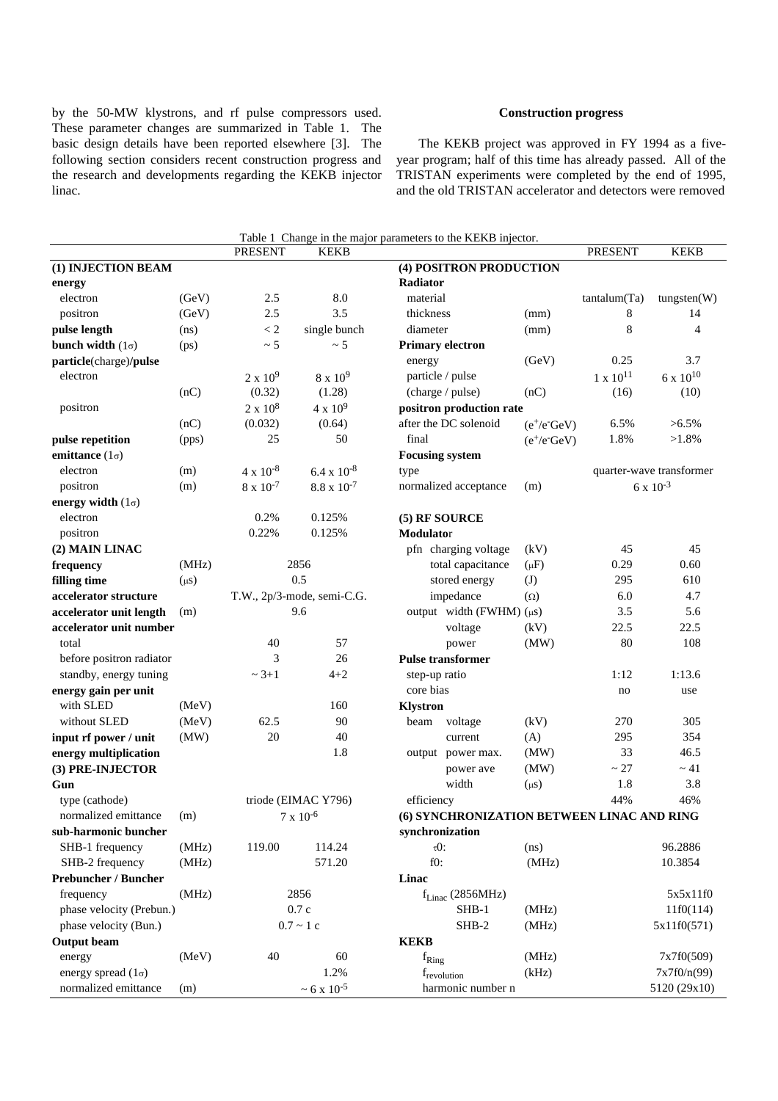by the 50-MW klystrons, and rf pulse compressors used. These parameter changes are summarized in Table 1. The basic design details have been reported elsewhere [3]. The following section considers recent construction progress and the research and developments regarding the KEKB injector linac.

# **Construction progress**

The KEKB project was approved in FY 1994 as a fiveyear program; half of this time has already passed. All of the TRISTAN experiments were completed by the end of 1995, and the old TRISTAN accelerator and detectors were removed

|                             |           |                             |                            | Table 1 Change in the major parameters to the KEKB injector. |                 |                          |                    |
|-----------------------------|-----------|-----------------------------|----------------------------|--------------------------------------------------------------|-----------------|--------------------------|--------------------|
|                             |           | <b>PRESENT</b>              | <b>KEKB</b>                |                                                              |                 | <b>PRESENT</b>           | <b>KEKB</b>        |
| (1) INJECTION BEAM          |           |                             | (4) POSITRON PRODUCTION    |                                                              |                 |                          |                    |
| energy                      |           |                             |                            | Radiator                                                     |                 |                          |                    |
| electron                    | (GeV)     | 2.5                         | 8.0                        | material                                                     |                 | tantalum(Ta)             | tungsten(W)        |
| positron                    | (GeV)     | 2.5                         | 3.5                        | thickness                                                    | (mm)            | 8                        | 14                 |
| pulse length                | (ns)      | < 2                         | single bunch               | diameter                                                     | (mm)            | 8                        | $\overline{4}$     |
| bunch width $(1\sigma)$     | (ps)      | $\sim$ 5                    | $~\sim 5$                  | <b>Primary electron</b>                                      |                 |                          |                    |
| particle(charge)/pulse      |           |                             |                            | energy                                                       | (GeV)           | 0.25                     | 3.7                |
| electron                    |           | $2 \times 10^9$             | $8 \times 10^9$            | particle / pulse                                             |                 | $1 \ge 10^{11}$          | $6 \times 10^{10}$ |
|                             | (nC)      | (0.32)                      | (1.28)                     | (charge / pulse)                                             | (nC)            | (16)                     | (10)               |
| positron                    |           | $2 \times 10^8$             | $4 \times 10^9$            | positron production rate                                     |                 |                          |                    |
|                             | (nC)      | (0.032)                     | (0.64)                     | after the DC solenoid                                        | $(e^+/e^- GeV)$ | 6.5%                     | $>6.5\%$           |
| pulse repetition            | (pps)     | 25                          | 50                         | final                                                        | $(e^+/e^- GeV)$ | 1.8%                     | $>1.8\%$           |
| emittance $(1\sigma)$       |           |                             |                            | <b>Focusing system</b>                                       |                 |                          |                    |
| electron                    | (m)       | $4 \times 10^{-8}$          | $6.4 \times 10^{-8}$       | type                                                         |                 | quarter-wave transformer |                    |
| positron                    | (m)       | $8 \times 10^{-7}$          | $8.8 \times 10^{-7}$       | normalized acceptance                                        | (m)             |                          | $6 \times 10^{-3}$ |
| energy width $(1\sigma)$    |           |                             |                            |                                                              |                 |                          |                    |
| electron                    |           | 0.2%                        | 0.125%                     | (5) RF SOURCE                                                |                 |                          |                    |
| positron                    |           | 0.22%                       | 0.125%                     | Modulator                                                    |                 |                          |                    |
| (2) MAIN LINAC              |           |                             |                            | pfn charging voltage                                         | (kV)            | 45                       | 45                 |
| frequency                   | (MHz)     |                             | 2856                       | total capacitance                                            | $(\mu F)$       | 0.29                     | 0.60               |
| filling time                | $(\mu s)$ |                             | 0.5                        | stored energy                                                | (J)             | 295                      | 610                |
| accelerator structure       |           |                             | T.W., 2p/3-mode, semi-C.G. | impedance                                                    | $(\Omega)$      | 6.0                      | 4.7                |
| accelerator unit length     | (m)       |                             | 9.6                        | output width (FWHM) $(\mu s)$                                |                 | 3.5                      | 5.6                |
| accelerator unit number     |           |                             |                            | voltage                                                      | (kV)            | 22.5                     | 22.5               |
| total                       |           | 40                          | 57                         | power                                                        | (MW)            | 80                       | 108                |
| before positron radiator    |           | 3                           | 26                         | <b>Pulse transformer</b>                                     |                 |                          |                    |
| standby, energy tuning      |           | $~2 + 1$                    | $4 + 2$                    | step-up ratio                                                |                 | 1:12                     | 1:13.6             |
| energy gain per unit        |           |                             |                            | core bias                                                    |                 | no                       | use                |
| with SLED                   | (MeV)     |                             | 160                        | <b>Klystron</b>                                              |                 |                          |                    |
| without SLED                | (MeV)     | 62.5                        | 90                         | voltage<br>beam                                              | (kV)            | 270                      | 305                |
| input rf power / unit       | (MW)      | 20                          | 40                         | current                                                      | (A)             | 295                      | 354                |
| energy multiplication       |           |                             | 1.8                        | output power max.                                            | (MW)            | 33                       | 46.5               |
| (3) PRE-INJECTOR            |           |                             |                            | power ave                                                    | (MW)            | $\sim 27$                | $\sim$ 41          |
| Gun                         |           |                             |                            | width                                                        | $(\mu s)$       | 1.8                      | 3.8                |
| type (cathode)              |           | triode (EIMAC Y796)         |                            | efficiency                                                   |                 | 44%                      | 46%                |
| normalized emittance (m)    |           | $7 \times 10^{-6}$          |                            | (6) SYNCHRONIZATION BETWEEN LINAC AND RING                   |                 |                          |                    |
| sub-harmonic buncher        |           |                             |                            | synchronization                                              |                 |                          |                    |
| SHB-1 frequency             | (MHz)     | 119.00                      | 114.24                     | $\tau$ O:                                                    | (ns)            |                          | 96.2886            |
| SHB-2 frequency             | (MHz)     |                             | 571.20                     | $f0$ :                                                       | (MHz)           |                          | 10.3854            |
| <b>Prebuncher / Buncher</b> |           |                             |                            | Linac                                                        |                 |                          |                    |
| frequency<br>(MHz)<br>2856  |           | $f_{\text{Linac}}(2856MHz)$ |                            |                                                              | 5x5x11f0        |                          |                    |
| phase velocity (Prebun.)    |           | 0.7c                        |                            | $SHB-1$                                                      | (MHz)           |                          | 11f0(114)          |
| phase velocity (Bun.)       |           | $0.7 \sim 1c$               |                            | SHB-2<br>(MHz)                                               |                 |                          | 5x11f0(571)        |
| <b>Output</b> beam          |           |                             |                            | <b>KEKB</b>                                                  |                 |                          |                    |
| energy                      | (MeV)     | 40                          | 60                         | $f_{\rm Ring}$                                               | (MHz)           |                          | 7x7f0(509)         |
| energy spread $(1\sigma)$   |           |                             | 1.2%                       | f <sub>revolution</sub>                                      | (kHz)           |                          | 7x7f0/n(99)        |
| normalized emittance        | (m)       |                             | $\sim 6$ x $10^{-5}$       | harmonic number n                                            |                 |                          | 5120 (29x10)       |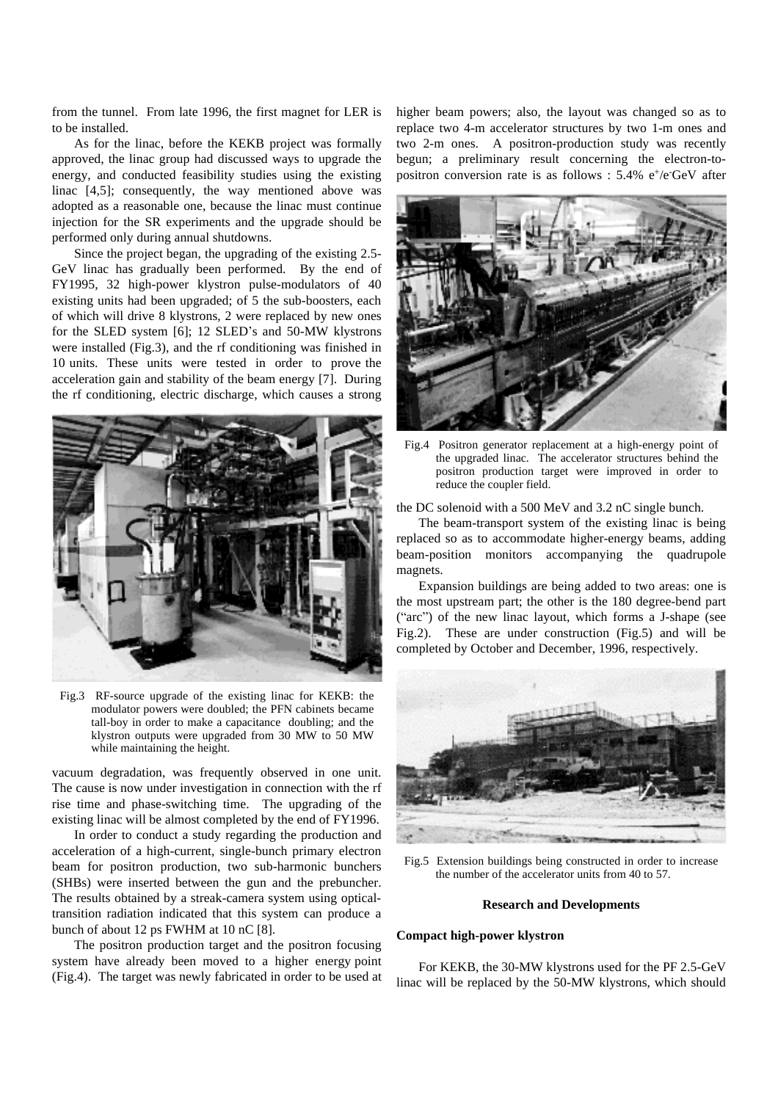from the tunnel. From late 1996, the first magnet for LER is to be installed.

As for the linac, before the KEKB project was formally approved, the linac group had discussed ways to upgrade the energy, and conducted feasibility studies using the existing linac [4,5]; consequently, the way mentioned above was adopted as a reasonable one, because the linac must continue injection for the SR experiments and the upgrade should be performed only during annual shutdowns.

Since the project began, the upgrading of the existing 2.5- GeV linac has gradually been performed. By the end of FY1995, 32 high-power klystron pulse-modulators of 40 existing units had been upgraded; of 5 the sub-boosters, each of which will drive 8 klystrons, 2 were replaced by new ones for the SLED system  $[6]$ ; 12 SLED's and 50-MW klystrons were installed (Fig.3), and the rf conditioning was finished in 10 units. These units were tested in order to prove the acceleration gain and stability of the beam energy [7]. During the rf conditioning, electric discharge, which causes a strong



Fig.3 RF-source upgrade of the existing linac for KEKB: the modulator powers were doubled; the PFN cabinets became tall-boy in order to make a capacitance doubling; and the klystron outputs were upgraded from 30 MW to 50 MW while maintaining the height.

vacuum degradation, was frequently observed in one unit. The cause is now under investigation in connection with the rf rise time and phase-switching time. The upgrading of the existing linac will be almost completed by the end of FY1996.

In order to conduct a study regarding the production and acceleration of a high-current, single-bunch primary electron beam for positron production, two sub-harmonic bunchers (SHBs) were inserted between the gun and the prebuncher. The results obtained by a streak-camera system using opticaltransition radiation indicated that this system can produce a bunch of about 12 ps FWHM at 10 nC [8].

The positron production target and the positron focusing system have already been moved to a higher energy point (Fig.4). The target was newly fabricated in order to be used at higher beam powers; also, the layout was changed so as to replace two 4-m accelerator structures by two 1-m ones and two 2-m ones. A positron-production study was recently begun; a preliminary result concerning the electron-topositron conversion rate is as follows : 5.4% e<sup>+</sup>/e<sup>-</sup>GeV after



Fig.4 Positron generator replacement at a high-energy point of the upgraded linac. The accelerator structures behind the positron production target were improved in order to reduce the coupler field.

the DC solenoid with a 500 MeV and 3.2 nC single bunch.

The beam-transport system of the existing linac is being replaced so as to accommodate higher-energy beams, adding beam-position monitors accompanying the quadrupole magnets.

Expansion buildings are being added to two areas: one is the most upstream part; the other is the 180 degree-bend part ("arc") of the new linac layout, which forms a J-shape (see Fig.2). These are under construction (Fig.5) and will be completed by October and December, 1996, respectively.



Fig.5 Extension buildings being constructed in order to increase the number of the accelerator units from 40 to 57.

### **Research and Developments**

# **Compact high-power klystron**

For KEKB, the 30-MW klystrons used for the PF 2.5-GeV linac will be replaced by the 50-MW klystrons, which should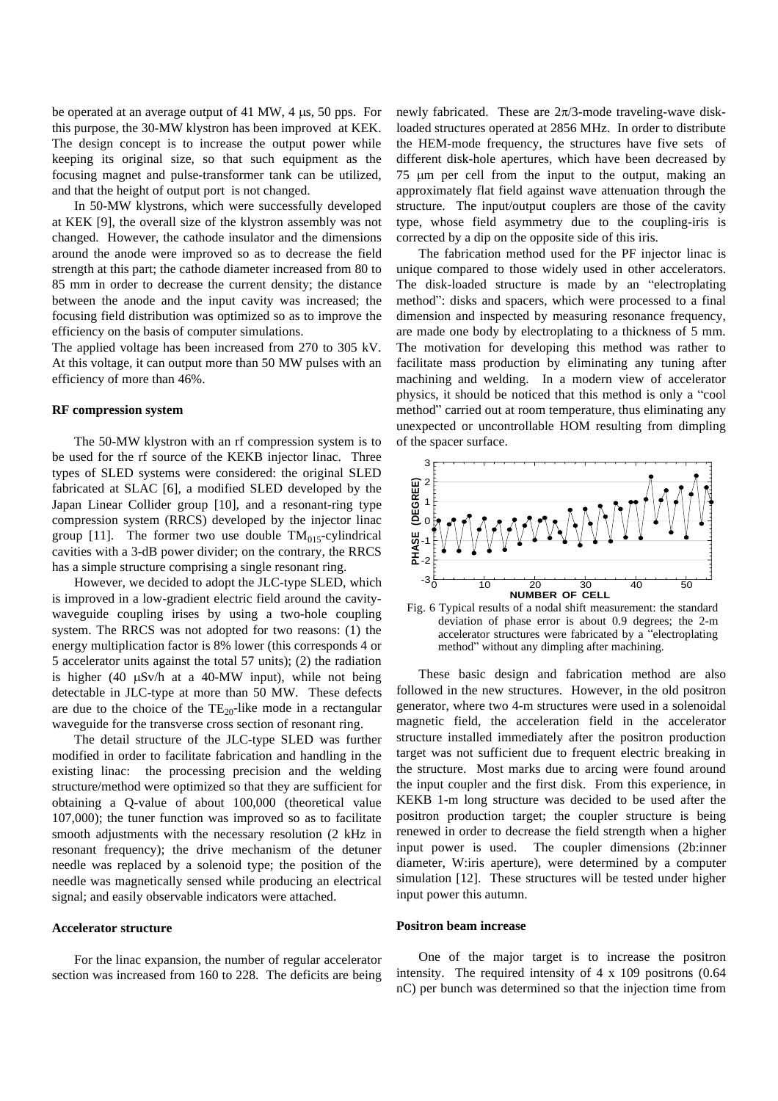be operated at an average output of 41 MW, 4  $\mu$ s, 50 pps. For this purpose, the 30-MW klystron has been improved at KEK. The design concept is to increase the output power while keeping its original size, so that such equipment as the focusing magnet and pulse-transformer tank can be utilized, and that the height of output port is not changed.

In 50-MW klystrons, which were successfully developed at KEK [9], the overall size of the klystron assembly was not changed. However, the cathode insulator and the dimensions around the anode were improved so as to decrease the field strength at this part; the cathode diameter increased from 80 to 85 mm in order to decrease the current density; the distance between the anode and the input cavity was increased; the focusing field distribution was optimized so as to improve the efficiency on the basis of computer simulations.

The applied voltage has been increased from 270 to 305 kV. At this voltage, it can output more than 50 MW pulses with an efficiency of more than 46%.

## **RF compression system**

The 50-MW klystron with an rf compression system is to be used for the rf source of the KEKB injector linac. Three types of SLED systems were considered: the original SLED fabricated at SLAC [6], a modified SLED developed by the Japan Linear Collider group [10], and a resonant-ring type compression system (RRCS) developed by the injector linac group [11]. The former two use double  $TM<sub>015</sub>-cylindrical$ cavities with a 3-dB power divider; on the contrary, the RRCS has a simple structure comprising a single resonant ring.

However, we decided to adopt the JLC-type SLED, which is improved in a low-gradient electric field around the cavitywaveguide coupling irises by using a two-hole coupling system. The RRCS was not adopted for two reasons: (1) the energy multiplication factor is 8% lower (this corresponds 4 or 5 accelerator units against the total 57 units); (2) the radiation is higher (40  $\mu$ Sv/h at a 40-MW input), while not being detectable in JLC-type at more than 50 MW. These defects are due to the choice of the  $TE_{20}$ -like mode in a rectangular waveguide for the transverse cross section of resonant ring.

The detail structure of the JLC-type SLED was further modified in order to facilitate fabrication and handling in the existing linac: the processing precision and the welding structure/method were optimized so that they are sufficient for obtaining a Q-value of about 100,000 (theoretical value 107,000); the tuner function was improved so as to facilitate smooth adjustments with the necessary resolution (2 kHz in resonant frequency); the drive mechanism of the detuner needle was replaced by a solenoid type; the position of the needle was magnetically sensed while producing an electrical signal; and easily observable indicators were attached.

# **Accelerator structure**

For the linac expansion, the number of regular accelerator section was increased from 160 to 228. The deficits are being newly fabricated. These are  $2\pi/3$ -mode traveling-wave diskloaded structures operated at 2856 MHz. In order to distribute the HEM-mode frequency, the structures have five sets of different disk-hole apertures, which have been decreased by  $75 \mu m$  per cell from the input to the output, making an approximately flat field against wave attenuation through the structure. The input/output couplers are those of the cavity type, whose field asymmetry due to the coupling-iris is corrected by a dip on the opposite side of this iris.

The fabrication method used for the PF injector linac is unique compared to those widely used in other accelerators. The disk-loaded structure is made by an "electroplating method": disks and spacers, which were processed to a final dimension and inspected by measuring resonance frequency, are made one body by electroplating to a thickness of 5 mm. The motivation for developing this method was rather to facilitate mass production by eliminating any tuning after machining and welding. In a modern view of accelerator physics, it should be noticed that this method is only a "cool" method" carried out at room temperature, thus eliminating any unexpected or uncontrollable HOM resulting from dimpling of the spacer surface.



Fig. 6 Typical results of a nodal shift measurement: the standard deviation of phase error is about 0.9 degrees; the 2-m accelerator structures were fabricated by a "electroplating method" without any dimpling after machining.

These basic design and fabrication method are also followed in the new structures. However, in the old positron generator, where two 4-m structures were used in a solenoidal magnetic field, the acceleration field in the accelerator structure installed immediately after the positron production target was not sufficient due to frequent electric breaking in the structure. Most marks due to arcing were found around the input coupler and the first disk. From this experience, in KEKB 1-m long structure was decided to be used after the positron production target; the coupler structure is being renewed in order to decrease the field strength when a higher input power is used. The coupler dimensions (2b:inner diameter, W:iris aperture), were determined by a computer simulation [12]. These structures will be tested under higher input power this autumn.

### **Positron beam increase**

One of the major target is to increase the positron intensity. The required intensity of 4 x 109 positrons (0.64 nC) per bunch was determined so that the injection time from